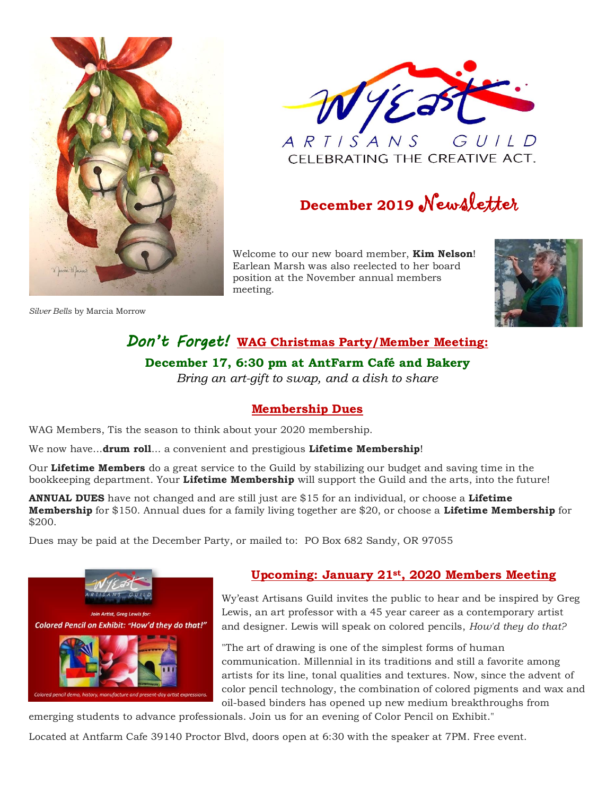

*Silver Bells* by Marcia Morrow



CELEBRATING THE CREATIVE ACT.

## **December <sup>2019</sup>** Newsletter

Welcome to our new board member, **Kim Nelson**! Earlean Marsh was also reelected to her board position at the November annual members meeting.



### *Don't Forget!* **WAG Christmas Party/Member Meeting: December 17, 6:30 pm at AntFarm Café and Bakery** *Bring an art-gift to swap, and a dish to share*

### **Membership Dues**

WAG Members, Tis the season to think about your 2020 membership.

We now have...**drum roll**... a convenient and prestigious **Lifetime Membership**!

Our **Lifetime Members** do a great service to the Guild by stabilizing our budget and saving time in the bookkeeping department. Your **Lifetime Membership** will support the Guild and the arts, into the future!

**ANNUAL DUES** have not changed and are still just are \$15 for an individual, or choose a **Lifetime Membership** for \$150. Annual dues for a family living together are \$20, or choose a **Lifetime Membership** for \$200.

Dues may be paid at the December Party, or mailed to: PO Box 682 Sandy, OR 97055



### **Upcoming: January 21st, 2020 Members Meeting**

Wy'east Artisans Guild invites the public to hear and be inspired by Greg Lewis, an art professor with a 45 year career as a contemporary artist and designer. Lewis will speak on colored pencils, *How'd they do that?*

"The art of drawing is one of the simplest forms of human communication. Millennial in its traditions and still a favorite among artists for its line, tonal qualities and textures. Now, since the advent of color pencil technology, the combination of colored pigments and wax and oil-based binders has opened up new medium breakthroughs from

emerging students to advance professionals. Join us for an evening of Color Pencil on Exhibit."

Located at Antfarm Cafe 39140 Proctor Blvd, doors open at 6:30 with the speaker at 7PM. Free event.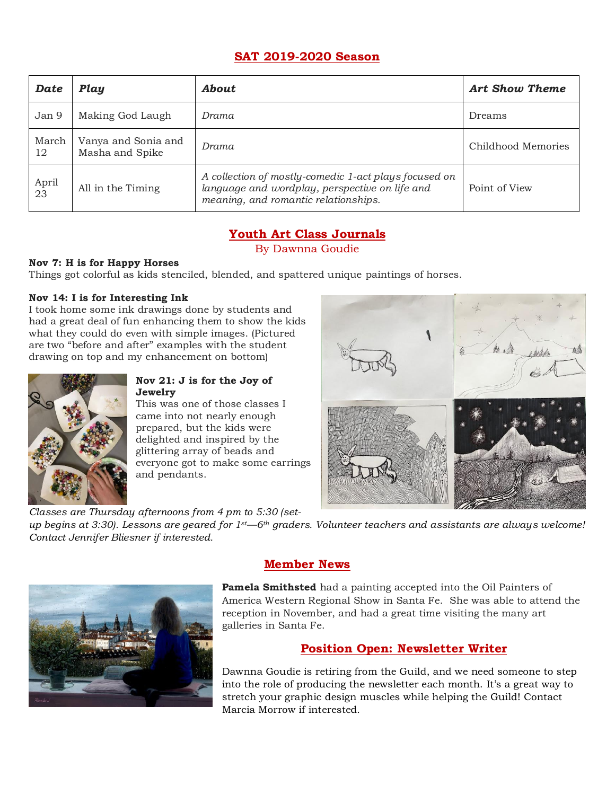### **SAT 2019-2020 Season**

| Date                     | Play                                   | <b>About</b>                                                                                                                                    | Art Show Theme     |
|--------------------------|----------------------------------------|-------------------------------------------------------------------------------------------------------------------------------------------------|--------------------|
| Jan 9                    | Making God Laugh                       | Drama                                                                                                                                           | Dreams             |
| March<br>12              | Vanya and Sonia and<br>Masha and Spike | Drama                                                                                                                                           | Childhood Memories |
| April<br>$2\overline{3}$ | All in the Timing                      | A collection of mostly-comedic 1-act plays focused on<br>language and wordplay, perspective on life and<br>meaning, and romantic relationships. | Point of View      |

### **Youth Art Class Journals**

By Dawnna Goudie

### **Nov 7: H is for Happy Horses**

Things got colorful as kids stenciled, blended, and spattered unique paintings of horses.

### **Nov 14: I is for Interesting Ink**

I took home some ink drawings done by students and had a great deal of fun enhancing them to show the kids what they could do even with simple images. (Pictured are two "before and after" examples with the student drawing on top and my enhancement on bottom)



#### **Nov 21: J is for the Joy of Jewelry**

This was one of those classes I came into not nearly enough prepared, but the kids were delighted and inspired by the glittering array of beads and everyone got to make some earrings and pendants.

*Classes are Thursday afternoons from 4 pm to 5:30 (set-*



*up begins at 3:30). Lessons are geared for 1st—6th graders. Volunteer teachers and assistants are always welcome! Contact Jennifer Bliesner if interested.*



### **Member News**

**Pamela Smithsted** had a painting accepted into the Oil Painters of America Western Regional Show in Santa Fe. She was able to attend the reception in November, and had a great time visiting the many art galleries in Santa Fe.

### **Position Open: Newsletter Writer**

Dawnna Goudie is retiring from the Guild, and we need someone to step into the role of producing the newsletter each month. It's a great way to stretch your graphic design muscles while helping the Guild! Contact Marcia Morrow if interested.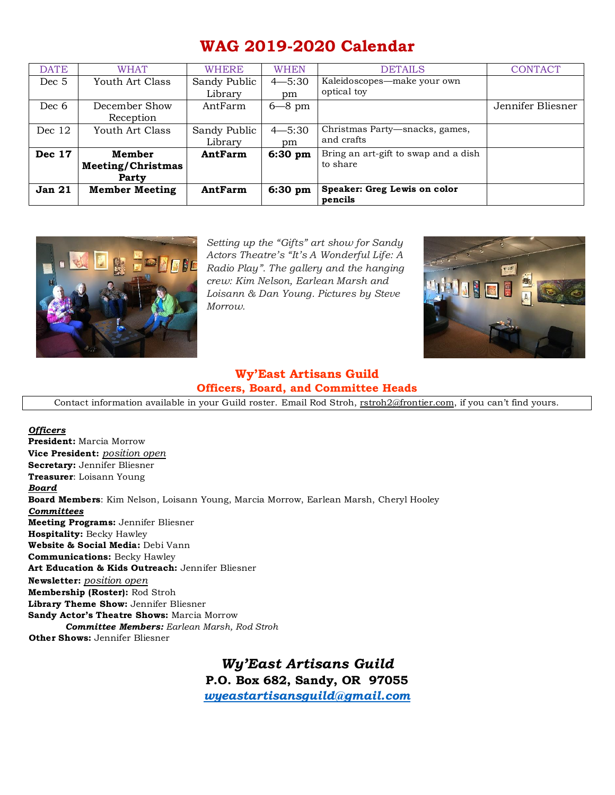### **WAG 2019-2020 Calendar**

| <b>DATE</b>   | <b>WHAT</b>           | <b>WHERE</b> | <b>WHEN</b> | <b>DETAILS</b>                          | <b>CONTACT</b>    |
|---------------|-----------------------|--------------|-------------|-----------------------------------------|-------------------|
| Dec 5         | Youth Art Class       | Sandy Public | $4 - 5:30$  | Kaleidoscopes—make your own             |                   |
|               |                       | Library      | pm          | optical toy                             |                   |
| Dec 6         | December Show         | AntFarm      | $6 - 8$ pm  |                                         | Jennifer Bliesner |
|               | Reception             |              |             |                                         |                   |
| Dec $12$      | Youth Art Class       | Sandy Public | $4 - 5:30$  | Christmas Party-snacks, games,          |                   |
|               |                       | Library      | pm          | and crafts                              |                   |
| Dec 17        | Member                | AntFarm      | $6:30$ pm   | Bring an art-gift to swap and a dish    |                   |
|               | Meeting/Christmas     |              |             | to share                                |                   |
|               | Party                 |              |             |                                         |                   |
| <b>Jan 21</b> | <b>Member Meeting</b> | AntFarm      | $6:30$ pm   | Speaker: Greg Lewis on color<br>pencils |                   |



*Setting up the "Gifts" art show for Sandy Actors Theatre's "It's A Wonderful Life: A Radio Play". The gallery and the hanging crew: Kim Nelson, Earlean Marsh and Loisann & Dan Young. Pictures by Steve Morrow.* 



### **Wy'East Artisans Guild Officers, Board, and Committee Heads**

Contact information available in your Guild roster. Email Rod Stroh, [rstroh2@frontier.com](mailto:rstroh2@frontier.com), if you can't find yours.

*Officers* **President:** Marcia Morrow **Vice President:** *position open* **Secretary:** Jennifer Bliesner **Treasurer**: Loisann Young *Board* **Board Members**: Kim Nelson, Loisann Young, Marcia Morrow, Earlean Marsh, Cheryl Hooley *Committees* **Meeting Programs:** Jennifer Bliesner **Hospitality:** Becky Hawley **Website & Social Media:** Debi Vann **Communications:** Becky Hawley **Art Education & Kids Outreach:** Jennifer Bliesner **Newsletter:** *position open* **Membership (Roster):** Rod Stroh **Library Theme Show:** Jennifer Bliesner **Sandy Actor's Theatre Shows:** Marcia Morrow *Committee Members: Earlean Marsh, Rod Stroh* **Other Shows:** Jennifer Bliesner

> *Wy'East Artisans Guild* **P.O. Box 682, Sandy, OR 97055** *[wyeastartisansguild@gmail.com](mailto:wyeastartisansguild@gmail.com)*